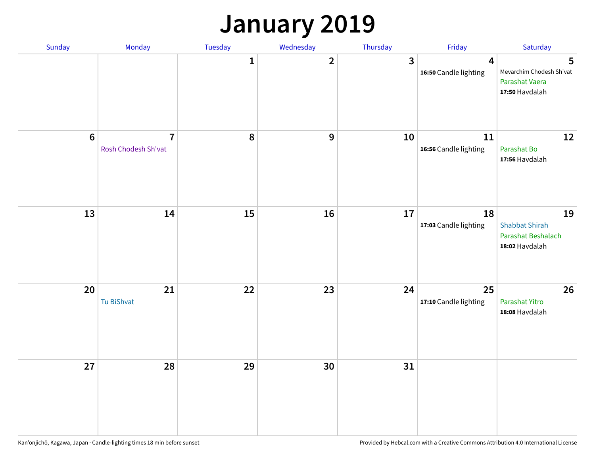### **January 2019**

| Sunday  | Monday                                | Tuesday          | Wednesday      | Thursday     | Friday                          | Saturday                                                            |
|---------|---------------------------------------|------------------|----------------|--------------|---------------------------------|---------------------------------------------------------------------|
|         |                                       | $\mathbf{1}$     | $\overline{2}$ | $\mathbf{3}$ | 4<br>16:50 Candle lighting      | 5<br>Mevarchim Chodesh Sh'vat<br>Parashat Vaera<br>17:50 Havdalah   |
| $\bf 6$ | $\overline{7}$<br>Rosh Chodesh Sh'vat | $\boldsymbol{8}$ | 9              | 10           | $11\,$<br>16:56 Candle lighting | 12<br>Parashat Bo<br>17:56 Havdalah                                 |
| 13      | 14                                    | 15               | 16             | 17           | 18<br>17:03 Candle lighting     | 19<br><b>Shabbat Shirah</b><br>Parashat Beshalach<br>18:02 Havdalah |
| 20      | 21<br>Tu BiShvat                      | 22               | 23             | 24           | 25<br>17:10 Candle lighting     | 26<br>Parashat Yitro<br>18:08 Havdalah                              |
| 27      | 28                                    | 29               | 30             | 31           |                                 |                                                                     |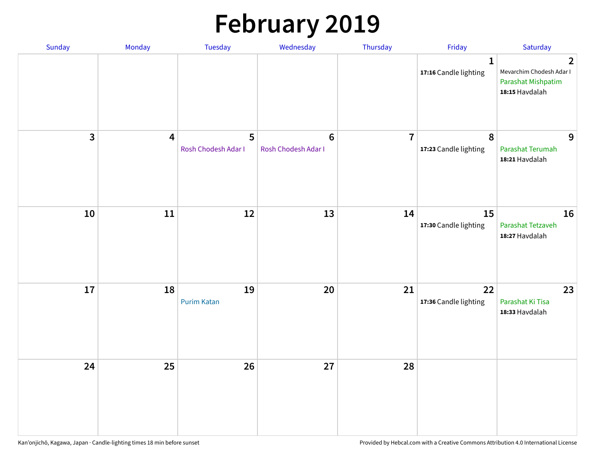# **February 2019**

| Sunday | Monday                  | Tuesday                  | Wednesday                      | Thursday       | Friday                                    | Saturday                                                                           |
|--------|-------------------------|--------------------------|--------------------------------|----------------|-------------------------------------------|------------------------------------------------------------------------------------|
|        |                         |                          |                                |                | $\mathbf{1}$<br>17:16 Candle lighting     | $\overline{2}$<br>Mevarchim Chodesh Adar I<br>Parashat Mishpatim<br>18:15 Havdalah |
| 3      | $\overline{\mathbf{4}}$ | 5<br>Rosh Chodesh Adar I | $\bf 6$<br>Rosh Chodesh Adar I | $\overline{7}$ | $\boldsymbol{8}$<br>17:23 Candle lighting | 9<br>Parashat Terumah<br>18:21 Havdalah                                            |
| 10     | ${\bf 11}$              | 12                       | 13                             | 14             | 15<br>17:30 Candle lighting               | 16<br>Parashat Tetzaveh<br>18:27 Havdalah                                          |
| 17     | 18                      | 19<br><b>Purim Katan</b> | 20                             | 21             | 22<br>17:36 Candle lighting               | 23<br>Parashat Ki Tisa<br>18:33 Havdalah                                           |
| 24     | 25                      | 26                       | 27                             | 28             |                                           |                                                                                    |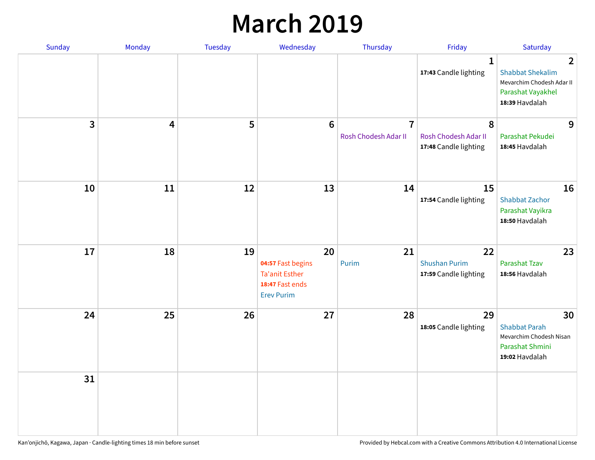### **March 2019**

| <b>Sunday</b>  | Monday | Tuesday | Wednesday                                                                                | Thursday                               | Friday                                              | Saturday                                                                                                      |
|----------------|--------|---------|------------------------------------------------------------------------------------------|----------------------------------------|-----------------------------------------------------|---------------------------------------------------------------------------------------------------------------|
|                |        |         |                                                                                          |                                        | $\mathbf{1}$<br>17:43 Candle lighting               | $\overline{2}$<br><b>Shabbat Shekalim</b><br>Mevarchim Chodesh Adar II<br>Parashat Vayakhel<br>18:39 Havdalah |
| $\overline{3}$ | 4      | 5       | $6\phantom{1}6$                                                                          | $\overline{7}$<br>Rosh Chodesh Adar II | 8<br>Rosh Chodesh Adar II<br>17:48 Candle lighting  | 9<br>Parashat Pekudei<br>18:45 Havdalah                                                                       |
| 10             | 11     | 12      | 13                                                                                       | 14                                     | 15<br>17:54 Candle lighting                         | 16<br><b>Shabbat Zachor</b><br>Parashat Vayikra<br>18:50 Havdalah                                             |
| 17             | 18     | 19      | 20<br>04:57 Fast begins<br><b>Ta'anit Esther</b><br>18:47 Fast ends<br><b>Erev Purim</b> | 21<br>Purim                            | 22<br><b>Shushan Purim</b><br>17:59 Candle lighting | 23<br>Parashat Tzav<br>18:56 Havdalah                                                                         |
| 24             | 25     | 26      | 27                                                                                       | 28                                     | 29<br>18:05 Candle lighting                         | 30<br><b>Shabbat Parah</b><br>Mevarchim Chodesh Nisan<br>Parashat Shmini<br>19:02 Havdalah                    |
| 31             |        |         |                                                                                          |                                        |                                                     |                                                                                                               |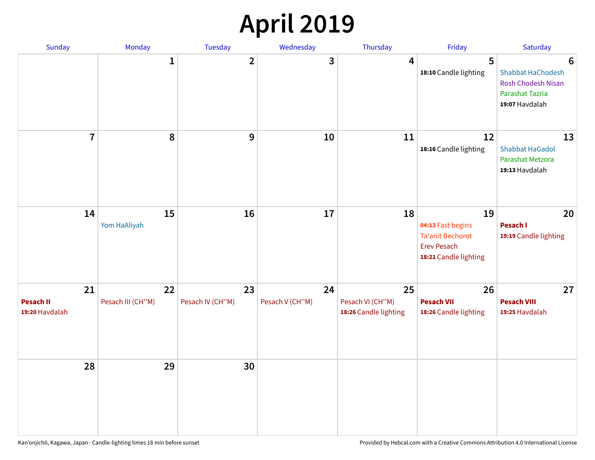### **April 2019**

| Sunday                                   | Monday                  | Tuesday                | Wednesday             | Thursday                                        | Friday                                                                                            | Saturday                                                                                 |
|------------------------------------------|-------------------------|------------------------|-----------------------|-------------------------------------------------|---------------------------------------------------------------------------------------------------|------------------------------------------------------------------------------------------|
|                                          | $\mathbf{1}$            | $\overline{2}$         | 3                     | 4                                               | 5<br>18:10 Candle lighting                                                                        | 6<br>Shabbat HaChodesh<br><b>Rosh Chodesh Nisan</b><br>Parashat Tazria<br>19:07 Havdalah |
| $\overline{7}$                           | 8                       | $\boldsymbol{9}$       | 10                    | 11                                              | 12<br>18:16 Candle lighting                                                                       | 13<br><b>Shabbat HaGadol</b><br>Parashat Metzora<br>19:13 Havdalah                       |
| 14                                       | 15<br>Yom HaAliyah      | 16                     | 17                    | 18                                              | 19<br>04:13 Fast begins<br><b>Ta'anit Bechorot</b><br><b>Erev Pesach</b><br>18:21 Candle lighting | 20<br>Pesach I<br>19:19 Candle lighting                                                  |
| 21<br><b>Pesach II</b><br>19:20 Havdalah | 22<br>Pesach III (CH"M) | 23<br>Pesach IV (CH"M) | 24<br>Pesach V (CH"M) | 25<br>Pesach VI (CH"M)<br>18:26 Candle lighting | 26<br><b>Pesach VII</b><br>18:26 Candle lighting                                                  | 27<br><b>Pesach VIII</b><br>19:25 Havdalah                                               |
| 28                                       | 29                      | 30                     |                       |                                                 |                                                                                                   |                                                                                          |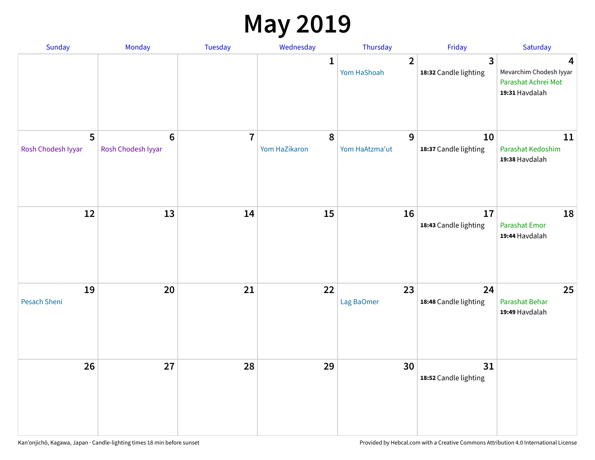### **May 2019**

| Sunday                    | Monday                                 | Tuesday        | Wednesday                  | Thursday                      | Friday                                           | Saturday                                                              |
|---------------------------|----------------------------------------|----------------|----------------------------|-------------------------------|--------------------------------------------------|-----------------------------------------------------------------------|
|                           |                                        |                | 1                          | $\overline{2}$<br>Yom HaShoah | $\overline{\mathbf{3}}$<br>18:32 Candle lighting | 4<br>Mevarchim Chodesh Iyyar<br>Parashat Achrei Mot<br>19:31 Havdalah |
| 5<br>Rosh Chodesh Iyyar   | $\boldsymbol{6}$<br>Rosh Chodesh Iyyar | $\overline{7}$ | $\pmb{8}$<br>Yom HaZikaron | 9<br>Yom HaAtzma'ut           | 10<br>18:37 Candle lighting                      | 11<br>Parashat Kedoshim<br>19:38 Havdalah                             |
| 12                        | 13                                     | 14             | 15                         | 16                            | 17<br>18:43 Candle lighting                      | 18<br>Parashat Emor<br>19:44 Havdalah                                 |
| 19<br><b>Pesach Sheni</b> | 20                                     | 21             | 22                         | 23<br>Lag BaOmer              | 24<br>18:48 Candle lighting                      | 25<br>Parashat Behar<br>19:49 Havdalah                                |
| 26                        | 27                                     | 28             | 29                         | 30                            | 31<br>18:52 Candle lighting                      |                                                                       |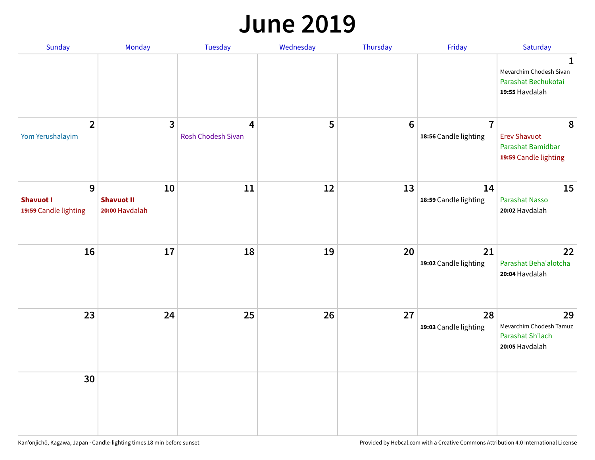#### **June 2019**

| Sunday                                         | Monday                                    | Tuesday                        | Wednesday | Thursday        | Friday                                  | Saturday                                                               |
|------------------------------------------------|-------------------------------------------|--------------------------------|-----------|-----------------|-----------------------------------------|------------------------------------------------------------------------|
|                                                |                                           |                                |           |                 |                                         | 1<br>Mevarchim Chodesh Sivan<br>Parashat Bechukotai<br>19:55 Havdalah  |
| $\overline{2}$<br>Yom Yerushalayim             | $\mathbf{3}$                              | 4<br><b>Rosh Chodesh Sivan</b> | 5         | $6\phantom{1}6$ | $\overline{7}$<br>18:56 Candle lighting | 8<br><b>Erev Shavuot</b><br>Parashat Bamidbar<br>19:59 Candle lighting |
| 9<br><b>Shavuot I</b><br>19:59 Candle lighting | 10<br><b>Shavuot II</b><br>20:00 Havdalah | 11                             | 12        | 13              | 14<br>18:59 Candle lighting             | 15<br><b>Parashat Nasso</b><br>20:02 Havdalah                          |
| 16                                             | 17                                        | 18                             | 19        | 20              | 21<br>19:02 Candle lighting             | 22<br>Parashat Beha'alotcha<br>20:04 Havdalah                          |
| 23                                             | 24                                        | 25                             | 26        | 27              | 28<br>19:03 Candle lighting             | 29<br>Mevarchim Chodesh Tamuz<br>Parashat Sh'lach<br>20:05 Havdalah    |
| 30                                             |                                           |                                |           |                 |                                         |                                                                        |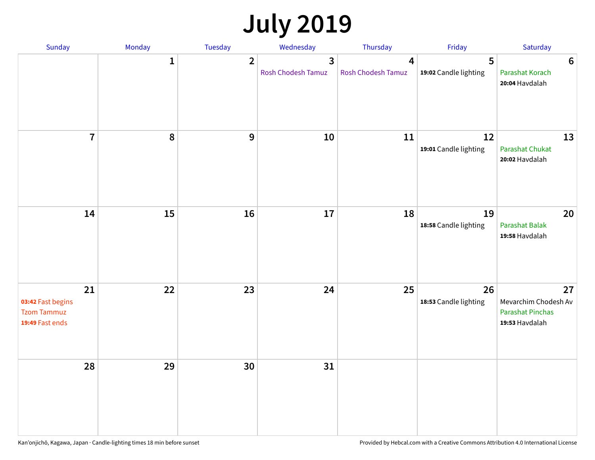## **July 2019**

| Sunday                                                           | Monday       | Tuesday        | Wednesday                            | Thursday                             | Friday                      | Saturday                                                                |
|------------------------------------------------------------------|--------------|----------------|--------------------------------------|--------------------------------------|-----------------------------|-------------------------------------------------------------------------|
|                                                                  | $\mathbf{1}$ | $\overline{2}$ | $\overline{3}$<br>Rosh Chodesh Tamuz | $\overline{4}$<br>Rosh Chodesh Tamuz | 5<br>19:02 Candle lighting  | $6\phantom{1}6$<br>Parashat Korach<br>20:04 Havdalah                    |
| $\overline{7}$                                                   | 8            | 9              | 10                                   | 11                                   | 12<br>19:01 Candle lighting | 13<br><b>Parashat Chukat</b><br>20:02 Havdalah                          |
| 14                                                               | 15           | 16             | 17                                   | 18                                   | 19<br>18:58 Candle lighting | 20<br><b>Parashat Balak</b><br>19:58 Havdalah                           |
| 21<br>03:42 Fast begins<br><b>Tzom Tammuz</b><br>19:49 Fast ends | 22           | 23             | 24                                   | 25                                   | 26<br>18:53 Candle lighting | 27<br>Mevarchim Chodesh Av<br><b>Parashat Pinchas</b><br>19:53 Havdalah |
| 28                                                               | 29           | 30             | 31                                   |                                      |                             |                                                                         |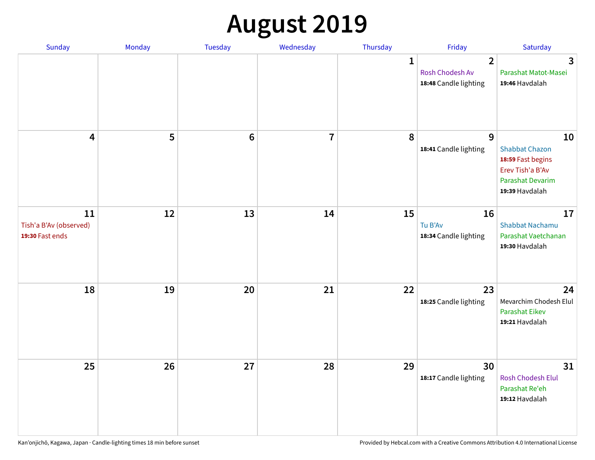## **August 2019**

| <b>Sunday</b>                                   | Monday | Tuesday         | Wednesday               | Thursday     | Friday                                                     | Saturday                                                                                                          |
|-------------------------------------------------|--------|-----------------|-------------------------|--------------|------------------------------------------------------------|-------------------------------------------------------------------------------------------------------------------|
|                                                 |        |                 |                         | $\mathbf{1}$ | $\overline{2}$<br>Rosh Chodesh Av<br>18:48 Candle lighting | $\overline{3}$<br>Parashat Matot-Masei<br>19:46 Havdalah                                                          |
| $\overline{\mathbf{4}}$                         | 5      | $6\phantom{1}6$ | $\overline{\mathbf{7}}$ | 8            | 9<br>18:41 Candle lighting                                 | 10<br><b>Shabbat Chazon</b><br>18:59 Fast begins<br>Erev Tish'a B'Av<br><b>Parashat Devarim</b><br>19:39 Havdalah |
| 11<br>Tish'a B'Av (observed)<br>19:30 Fast ends | 12     | 13              | 14                      | 15           | 16<br>Tu B'Av<br>18:34 Candle lighting                     | 17<br><b>Shabbat Nachamu</b><br>Parashat Vaetchanan<br>19:30 Havdalah                                             |
| 18                                              | 19     | 20              | 21                      | 22           | 23<br>18:25 Candle lighting                                | 24<br>Mevarchim Chodesh Elul<br><b>Parashat Eikev</b><br>19:21 Havdalah                                           |
| 25                                              | 26     | 27              | 28                      | 29           | 30<br>18:17 Candle lighting                                | 31<br><b>Rosh Chodesh Elul</b><br>Parashat Re'eh<br>19:12 Havdalah                                                |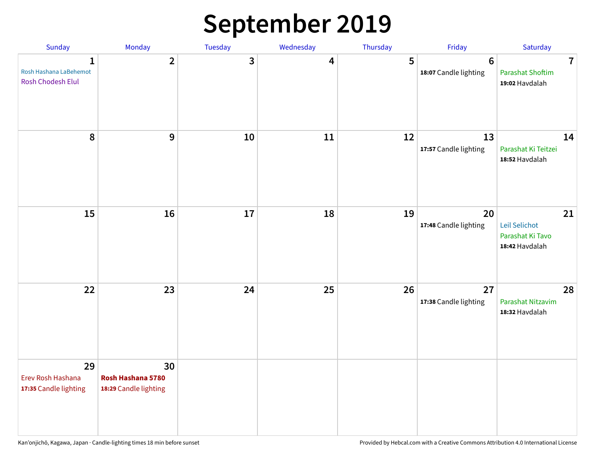### **September 2019**

| Sunday                                                      | Monday                                           | Tuesday | Wednesday | Thursday | Friday                           | Saturday                                                    |
|-------------------------------------------------------------|--------------------------------------------------|---------|-----------|----------|----------------------------------|-------------------------------------------------------------|
| $\mathbf{1}$<br>Rosh Hashana LaBehemot<br>Rosh Chodesh Elul | $\overline{2}$                                   | 3       | 4         | 5        | $\bf 6$<br>18:07 Candle lighting | $\overline{7}$<br><b>Parashat Shoftim</b><br>19:02 Havdalah |
| 8                                                           | 9                                                | 10      | 11        | 12       | 13<br>17:57 Candle lighting      | 14<br>Parashat Ki Teitzei<br>18:52 Havdalah                 |
| 15                                                          | 16                                               | 17      | 18        | 19       | 20<br>17:48 Candle lighting      | 21<br>Leil Selichot<br>Parashat Ki Tavo<br>18:42 Havdalah   |
| 22                                                          | 23                                               | 24      | 25        | 26       | 27<br>17:38 Candle lighting      | 28<br>Parashat Nitzavim<br>18:32 Havdalah                   |
| 29<br>Erev Rosh Hashana<br>17:35 Candle lighting            | 30<br>Rosh Hashana 5780<br>18:29 Candle lighting |         |           |          |                                  |                                                             |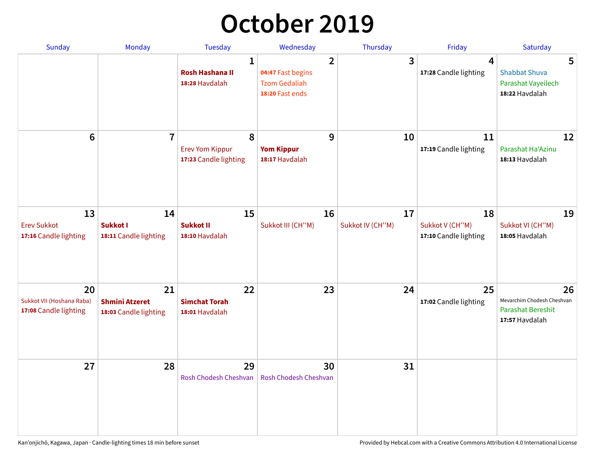### **October 2019**

| <b>Sunday</b>                                            | <b>Monday</b>                                        | <b>Tuesday</b>                                           | Wednesday                                                                      | Thursday               | Friday                                         | Saturday                                                                       |
|----------------------------------------------------------|------------------------------------------------------|----------------------------------------------------------|--------------------------------------------------------------------------------|------------------------|------------------------------------------------|--------------------------------------------------------------------------------|
|                                                          |                                                      | $\mathbf{1}$<br><b>Rosh Hashana II</b><br>18:28 Havdalah | $\overline{2}$<br>04:47 Fast begins<br><b>Tzom Gedaliah</b><br>18:20 Fast ends | 3                      | 4<br>17:28 Candle lighting                     | 5<br><b>Shabbat Shuva</b><br>Parashat Vayeilech<br>18:22 Havdalah              |
| 6                                                        | $\overline{7}$                                       | 8<br><b>Erev Yom Kippur</b><br>17:23 Candle lighting     | 9<br><b>Yom Kippur</b><br>18:17 Havdalah                                       | 10                     | 11<br>17:19 Candle lighting                    | 12<br>Parashat Ha'Azinu<br>18:13 Havdalah                                      |
| 13<br><b>Erev Sukkot</b><br>17:16 Candle lighting        | 14<br>Sukkot I<br>18:11 Candle lighting              | 15<br><b>Sukkot II</b><br>18:10 Havdalah                 | 16<br>Sukkot III (CH"M)                                                        | 17<br>Sukkot IV (CH"M) | 18<br>Sukkot V (CH"M)<br>17:10 Candle lighting | 19<br>Sukkot VI (CH"M)<br>18:05 Havdalah                                       |
| 20<br>Sukkot VII (Hoshana Raba)<br>17:08 Candle lighting | 21<br><b>Shmini Atzeret</b><br>18:03 Candle lighting | 22<br><b>Simchat Torah</b><br>18:01 Havdalah             | 23                                                                             | 24                     | 25<br>17:02 Candle lighting                    | 26<br>Mevarchim Chodesh Cheshvan<br><b>Parashat Bereshit</b><br>17:57 Havdalah |
| 27                                                       | 28                                                   | 29<br>Rosh Chodesh Cheshvan                              | 30<br>Rosh Chodesh Cheshvan                                                    | 31                     |                                                |                                                                                |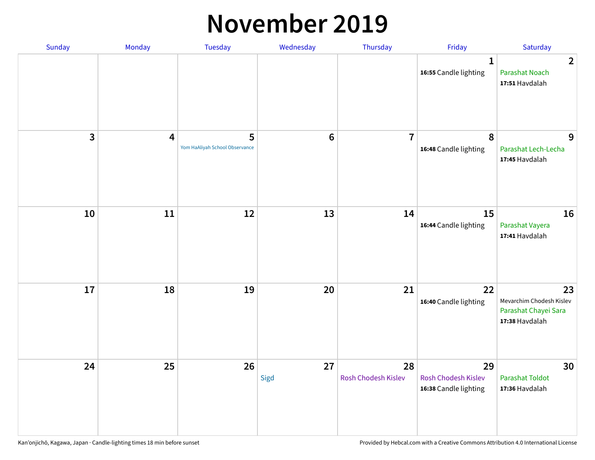#### **November 2019**

| Sunday | Monday                  | Tuesday                             | Wednesday  | Thursday                  | Friday                                                    | Saturday                                                                 |
|--------|-------------------------|-------------------------------------|------------|---------------------------|-----------------------------------------------------------|--------------------------------------------------------------------------|
|        |                         |                                     |            |                           | 1<br>16:55 Candle lighting                                | $\overline{2}$<br><b>Parashat Noach</b><br>17:51 Havdalah                |
| 3      | $\overline{\mathbf{4}}$ | 5<br>Yom HaAliyah School Observance | $\bf 6$    | $\overline{7}$            | 8<br>16:48 Candle lighting                                | 9<br>Parashat Lech-Lecha<br>17:45 Havdalah                               |
| 10     | 11                      | 12                                  | 13         | 14                        | 15<br>16:44 Candle lighting                               | 16<br>Parashat Vayera<br>17:41 Havdalah                                  |
| 17     | 18                      | 19                                  | 20         | 21                        | 22<br>16:40 Candle lighting                               | 23<br>Mevarchim Chodesh Kislev<br>Parashat Chayei Sara<br>17:38 Havdalah |
| 24     | 25                      | 26                                  | 27<br>Sigd | 28<br>Rosh Chodesh Kislev | 29<br><b>Rosh Chodesh Kislev</b><br>16:38 Candle lighting | 30<br><b>Parashat Toldot</b><br>17:36 Havdalah                           |